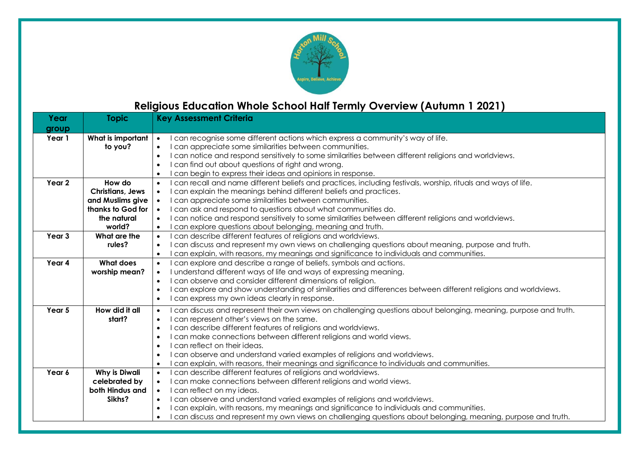

## **Religious Education Whole School Half Termly Overview (Autumn 1 2021)**

| Year   | <b>Topic</b>            | <b>Key Assessment Criteria</b>                                                                                               |
|--------|-------------------------|------------------------------------------------------------------------------------------------------------------------------|
| group  |                         |                                                                                                                              |
| Year 1 | What is important       | can recognise some different actions which express a community's way of life.<br>$\bullet$                                   |
|        | to you?                 | I can appreciate some similarities between communities.<br>$\bullet$                                                         |
|        |                         | I can notice and respond sensitively to some similarities between different religions and worldviews.<br>$\bullet$           |
|        |                         | I can find out about questions of right and wrong.<br>$\bullet$                                                              |
|        |                         | can begin to express their ideas and opinions in response.<br>$\bullet$                                                      |
| Year 2 | How do                  | I can recall and name different beliefs and practices, including festivals, worship, rituals and ways of life.<br>$\bullet$  |
|        | <b>Christians, Jews</b> | I can explain the meanings behind different beliefs and practices.<br>$\bullet$                                              |
|        | and Muslims give        | I can appreciate some similarities between communities.<br>$\bullet$                                                         |
|        | thanks to God for       | I can ask and respond to questions about what communities do.<br>$\bullet$                                                   |
|        | the natural             | I can notice and respond sensitively to some similarities between different religions and worldviews.<br>$\bullet$           |
|        | world?                  | I can explore questions about belonging, meaning and truth.<br>$\bullet$                                                     |
| Year 3 | What are the            | I can describe different features of religions and worldviews.<br>$\bullet$                                                  |
|        | rules?                  | I can discuss and represent my own views on challenging questions about meaning, purpose and truth.<br>$\bullet$             |
|        |                         | can explain, with reasons, my meanings and significance to individuals and communities.<br>$\bullet$                         |
| Year 4 | <b>What does</b>        | I can explore and describe a range of beliefs, symbols and actions.<br>$\bullet$                                             |
|        | worship mean?           | I understand different ways of life and ways of expressing meaning.<br>$\bullet$                                             |
|        |                         | I can observe and consider different dimensions of religion.<br>$\bullet$                                                    |
|        |                         | can explore and show understanding of similarities and differences between different religions and worldviews.<br>$\bullet$  |
|        |                         | can express my own ideas clearly in response.<br>$\bullet$                                                                   |
| Year 5 | How did it all          | can discuss and represent their own views on challenging questions about belonging, meaning, purpose and truth.<br>$\bullet$ |
|        | start?                  | can represent other's views on the same.<br>$\bullet$                                                                        |
|        |                         | I can describe different features of religions and worldviews.<br>$\bullet$                                                  |
|        |                         | I can make connections between different religions and world views.<br>$\bullet$                                             |
|        |                         | I can reflect on their ideas.<br>$\bullet$                                                                                   |
|        |                         | I can observe and understand varied examples of religions and worldviews.<br>$\bullet$                                       |
|        |                         | can explain, with reasons, their meanings and significance to individuals and communities.<br>$\bullet$                      |
| Year 6 | <b>Why is Diwali</b>    | can describe different features of religions and worldviews.<br>$\bullet$                                                    |
|        | celebrated by           | I can make connections between different religions and world views.<br>$\bullet$                                             |
|        | both Hindus and         | I can reflect on my ideas.<br>$\bullet$                                                                                      |
|        | Sikhs?                  | I can observe and understand varied examples of religions and worldviews.<br>$\bullet$                                       |
|        |                         | can explain, with reasons, my meanings and significance to individuals and communities.<br>$\bullet$                         |
|        |                         | can discuss and represent my own views on challenging questions about belonging, meaning, purpose and truth.<br>$\bullet$    |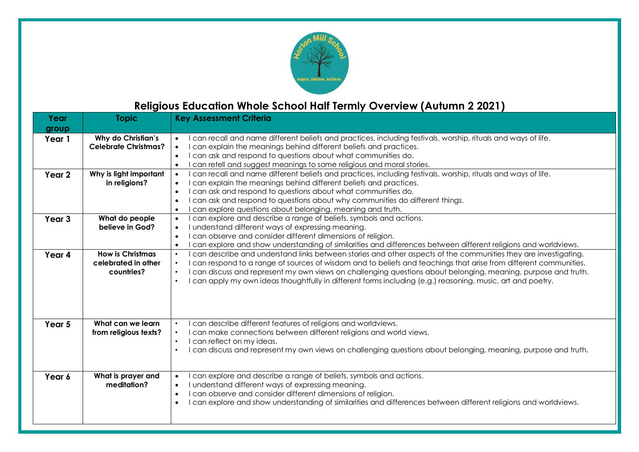

### **Religious Education Whole School Half Termly Overview (Autumn 2 2021)**

| Year              | <b>Topic</b>                                                 | <b>Key Assessment Criteria</b>                                                                                                                                                                                                                                                                                                                                                                                                                                                                                     |
|-------------------|--------------------------------------------------------------|--------------------------------------------------------------------------------------------------------------------------------------------------------------------------------------------------------------------------------------------------------------------------------------------------------------------------------------------------------------------------------------------------------------------------------------------------------------------------------------------------------------------|
| group             |                                                              |                                                                                                                                                                                                                                                                                                                                                                                                                                                                                                                    |
| Year 1            | Why do Christian's<br><b>Celebrate Christmas?</b>            | can recall and name different beliefs and practices, including festivals, worship, rituals and ways of life.<br>$\bullet$<br>can explain the meanings behind different beliefs and practices.<br>$\bullet$<br>can ask and respond to questions about what communities do.<br>$\bullet$<br>can retell and suggest meanings to some religious and moral stories.<br>$\bullet$                                                                                                                                        |
| Year 2            | Why is light important<br>in religions?                      | can recall and name different beliefs and practices, including festivals, worship, rituals and ways of life.<br>$\bullet$<br>can explain the meanings behind different beliefs and practices.<br>$\bullet$<br>can ask and respond to questions about what communities do.<br>$\bullet$<br>can ask and respond to questions about why communities do different things.<br>$\bullet$<br>can explore questions about belonging, meaning and truth.<br>$\bullet$                                                       |
| Year <sub>3</sub> | What do people<br>believe in God?                            | I can explore and describe a range of beliefs, symbols and actions.<br>$\bullet$<br>I understand different ways of expressing meaning.<br>$\bullet$<br>can observe and consider different dimensions of religion.<br>$\bullet$<br>can explore and show understanding of similarities and differences between different religions and worldviews.<br>$\bullet$                                                                                                                                                      |
| Year 4            | <b>How is Christmas</b><br>celebrated in other<br>countries? | can describe and understand links between stories and other aspects of the communities they are investigating.<br>$\bullet$<br>can respond to a range of sources of wisdom and to beliefs and teachings that arise from different communities.<br>$\bullet$<br>can discuss and represent my own views on challenging questions about belonging, meaning, purpose and truth.<br>$\bullet$<br>can apply my own ideas thoughtfully in different forms including (e.g.) reasoning, music, art and poetry.<br>$\bullet$ |
| Year <sub>5</sub> | What can we learn<br>from religious texts?                   | can describe different features of religions and worldviews.<br>$\bullet$<br>can make connections between different religions and world views.<br>$\bullet$<br>I can reflect on my ideas.<br>$\bullet$<br>can discuss and represent my own views on challenging questions about belonging, meaning, purpose and truth.<br>$\bullet$                                                                                                                                                                                |
| Year 6            | What is prayer and<br>meditation?                            | can explore and describe a range of beliefs, symbols and actions.<br>$\bullet$<br>I understand different ways of expressing meaning.<br>$\bullet$<br>I can observe and consider different dimensions of religion.<br>$\bullet$<br>can explore and show understanding of similarities and differences between different religions and worldviews.<br>$\bullet$                                                                                                                                                      |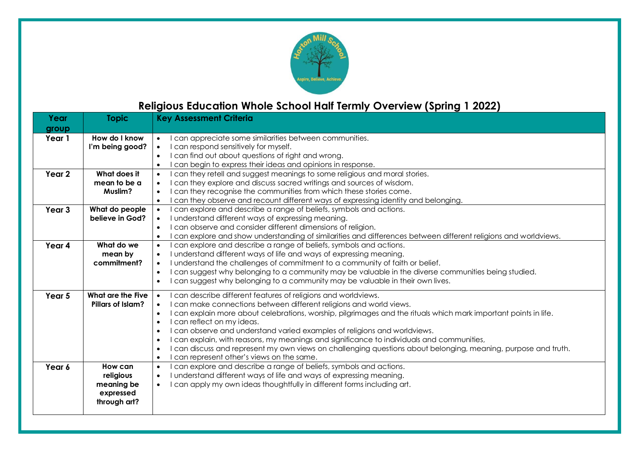

### **Religious Education Whole School Half Termly Overview (Spring 1 2022)**

| Year              | <b>Topic</b>                                                    | <b>Key Assessment Criteria</b>                                                                                                                                                                                                                                                                                                                                                                                                                                                                                                                                                                                                                                                                                             |
|-------------------|-----------------------------------------------------------------|----------------------------------------------------------------------------------------------------------------------------------------------------------------------------------------------------------------------------------------------------------------------------------------------------------------------------------------------------------------------------------------------------------------------------------------------------------------------------------------------------------------------------------------------------------------------------------------------------------------------------------------------------------------------------------------------------------------------------|
| group             |                                                                 |                                                                                                                                                                                                                                                                                                                                                                                                                                                                                                                                                                                                                                                                                                                            |
| Year 1            | How do I know<br>I'm being good?                                | I can appreciate some similarities between communities.<br>$\bullet$<br>I can respond sensitively for myself.<br>$\bullet$<br>I can find out about questions of right and wrong.<br>$\bullet$<br>I can begin to express their ideas and opinions in response.<br>$\bullet$                                                                                                                                                                                                                                                                                                                                                                                                                                                 |
| Year 2            | What does it<br>mean to be a<br>Muslim?                         | can they retell and suggest meanings to some religious and moral stories.<br>$\bullet$<br>I can they explore and discuss sacred writings and sources of wisdom.<br>$\bullet$<br>can they recognise the communities from which these stories come.<br>$\bullet$<br>can they observe and recount different ways of expressing identity and belonging.<br>$\bullet$                                                                                                                                                                                                                                                                                                                                                           |
| Year <sub>3</sub> | What do people<br>believe in God?                               | I can explore and describe a range of beliefs, symbols and actions.<br>$\bullet$<br>I understand different ways of expressing meaning.<br>$\bullet$<br>I can observe and consider different dimensions of religion.<br>$\bullet$<br>can explore and show understanding of similarities and differences between different religions and worldviews.<br>$\bullet$                                                                                                                                                                                                                                                                                                                                                            |
| Year 4            | What do we<br>mean by<br>commitment?                            | can explore and describe a range of beliefs, symbols and actions.<br>$\bullet$<br>I understand different ways of life and ways of expressing meaning.<br>$\bullet$<br>I understand the challenges of commitment to a community of faith or belief.<br>$\bullet$<br>I can suggest why belonging to a community may be valuable in the diverse communities being studied.<br>$\bullet$<br>can suggest why belonging to a community may be valuable in their own lives.<br>$\bullet$                                                                                                                                                                                                                                          |
| Year 5            | What are the Five<br>Pillars of Islam?                          | I can describe different features of religions and worldviews.<br>I can make connections between different religions and world views.<br>$\bullet$<br>I can explain more about celebrations, worship, pilgrimages and the rituals which mark important points in life.<br>$\bullet$<br>I can reflect on my ideas.<br>$\bullet$<br>I can observe and understand varied examples of religions and worldviews.<br>$\bullet$<br>I can explain, with reasons, my meanings and significance to individuals and communities,<br>$\bullet$<br>I can discuss and represent my own views on challenging questions about belonging, meaning, purpose and truth.<br>$\bullet$<br>can represent other's views on the same.<br>$\bullet$ |
| Year 6            | How can<br>religious<br>meaning be<br>expressed<br>through art? | can explore and describe a range of beliefs, symbols and actions.<br>$\bullet$<br>I understand different ways of life and ways of expressing meaning.<br>$\bullet$<br>I can apply my own ideas thoughtfully in different forms including art.<br>$\bullet$                                                                                                                                                                                                                                                                                                                                                                                                                                                                 |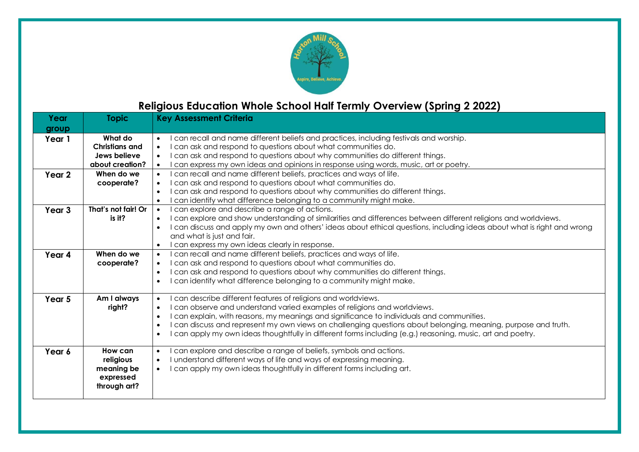

#### **Religious Education Whole School Half Termly Overview (Spring 2 2022)**

| Year              | <b>Topic</b>          | <b>Key Assessment Criteria</b>                                                                                                     |
|-------------------|-----------------------|------------------------------------------------------------------------------------------------------------------------------------|
| group             |                       |                                                                                                                                    |
| Year 1            | What do               | can recall and name different beliefs and practices, including festivals and worship.<br>$\bullet$                                 |
|                   | <b>Christians and</b> | can ask and respond to questions about what communities do.<br>$\bullet$                                                           |
|                   | Jews believe          | can ask and respond to questions about why communities do different things.<br>$\bullet$                                           |
|                   | about creation?       | can express my own ideas and opinions in response using words, music, art or poetry.<br>$\bullet$                                  |
| Year <sub>2</sub> | When do we            | can recall and name different beliefs, practices and ways of life.<br>$\bullet$                                                    |
|                   | cooperate?            | can ask and respond to questions about what communities do.<br>$\bullet$                                                           |
|                   |                       | can ask and respond to questions about why communities do different things.<br>$\bullet$                                           |
|                   |                       | can identify what difference belonging to a community might make.<br>$\bullet$                                                     |
| Year 3            | That's not fair! Or   | can explore and describe a range of actions.<br>$\bullet$                                                                          |
|                   | is it?                | can explore and show understanding of similarities and differences between different religions and worldviews.<br>$\bullet$        |
|                   |                       | can discuss and apply my own and others' ideas about ethical questions, including ideas about what is right and wrong<br>$\bullet$ |
|                   |                       | and what is just and fair.                                                                                                         |
|                   |                       | can express my own ideas clearly in response.<br>$\bullet$                                                                         |
| Year 4            | When do we            | can recall and name different beliefs, practices and ways of life.<br>$\bullet$                                                    |
|                   | cooperate?            | can ask and respond to questions about what communities do.<br>$\bullet$                                                           |
|                   |                       | can ask and respond to questions about why communities do different things.<br>$\bullet$                                           |
|                   |                       | can identify what difference belonging to a community might make.<br>$\bullet$                                                     |
| Year 5            | Am I always           | can describe different features of religions and worldviews.<br>$\bullet$                                                          |
|                   | right?                | can observe and understand varied examples of religions and worldviews.<br>$\bullet$                                               |
|                   |                       | can explain, with reasons, my meanings and significance to individuals and communities.<br>$\bullet$                               |
|                   |                       | can discuss and represent my own views on challenging questions about belonging, meaning, purpose and truth.<br>$\bullet$          |
|                   |                       | can apply my own ideas thoughtfully in different forms including (e.g.) reasoning, music, art and poetry.<br>$\bullet$             |
| Year 6            | How can               | can explore and describe a range of beliefs, symbols and actions.<br>$\bullet$                                                     |
|                   | religious             | I understand different ways of life and ways of expressing meaning.<br>$\bullet$                                                   |
|                   | meaning be            | I can apply my own ideas thoughtfully in different forms including art.<br>$\bullet$                                               |
|                   | expressed             |                                                                                                                                    |
|                   | through art?          |                                                                                                                                    |
|                   |                       |                                                                                                                                    |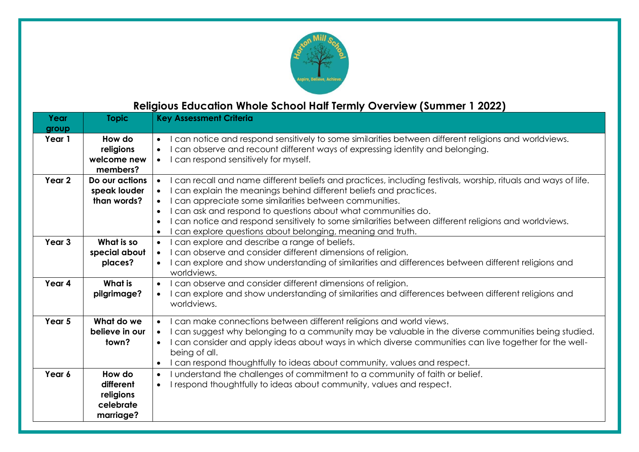

## **Religious Education Whole School Half Termly Overview (Summer 1 2022)**

| Year<br>group | <b>Topic</b>                                               | <b>Key Assessment Criteria</b>                                                                                                                                                                                                                                                                                                                                                                                                                                                                                                                             |
|---------------|------------------------------------------------------------|------------------------------------------------------------------------------------------------------------------------------------------------------------------------------------------------------------------------------------------------------------------------------------------------------------------------------------------------------------------------------------------------------------------------------------------------------------------------------------------------------------------------------------------------------------|
| Year 1        | How do<br>religions<br>welcome new<br>members?             | can notice and respond sensitively to some similarities between different religions and worldviews.<br>$\bullet$<br>can observe and recount different ways of expressing identity and belonging.<br>$\bullet$<br>can respond sensitively for myself.<br>$\bullet$                                                                                                                                                                                                                                                                                          |
| Year 2        | Do our actions<br>speak louder<br>than words?              | can recall and name different beliefs and practices, including festivals, worship, rituals and ways of life.<br>$\bullet$<br>can explain the meanings behind different beliefs and practices.<br>$\bullet$<br>can appreciate some similarities between communities.<br>$\bullet$<br>can ask and respond to questions about what communities do.<br>$\bullet$<br>can notice and respond sensitively to some similarities between different religions and worldviews.<br>$\bullet$<br>can explore questions about belonging, meaning and truth.<br>$\bullet$ |
| Year 3        | What is so<br>special about<br>places?                     | can explore and describe a range of beliefs.<br>$\bullet$<br>can observe and consider different dimensions of religion.<br>$\bullet$<br>can explore and show understanding of similarities and differences between different religions and<br>$\bullet$<br>worldviews.                                                                                                                                                                                                                                                                                     |
| Year 4        | <b>What is</b><br>pilgrimage?                              | can observe and consider different dimensions of religion.<br>$\bullet$<br>can explore and show understanding of similarities and differences between different religions and<br>$\bullet$<br>worldviews.                                                                                                                                                                                                                                                                                                                                                  |
| Year 5        | What do we<br>believe in our<br>town?                      | can make connections between different religions and world views.<br>$\bullet$<br>can suggest why belonging to a community may be valuable in the diverse communities being studied.<br>$\bullet$<br>can consider and apply ideas about ways in which diverse communities can live together for the well-<br>$\bullet$<br>being of all.<br>can respond thoughtfully to ideas about community, values and respect.<br>$\bullet$                                                                                                                             |
| Year 6        | How do<br>different<br>religions<br>celebrate<br>marriage? | understand the challenges of commitment to a community of faith or belief.<br>$\bullet$<br>respond thoughtfully to ideas about community, values and respect.<br>$\bullet$                                                                                                                                                                                                                                                                                                                                                                                 |